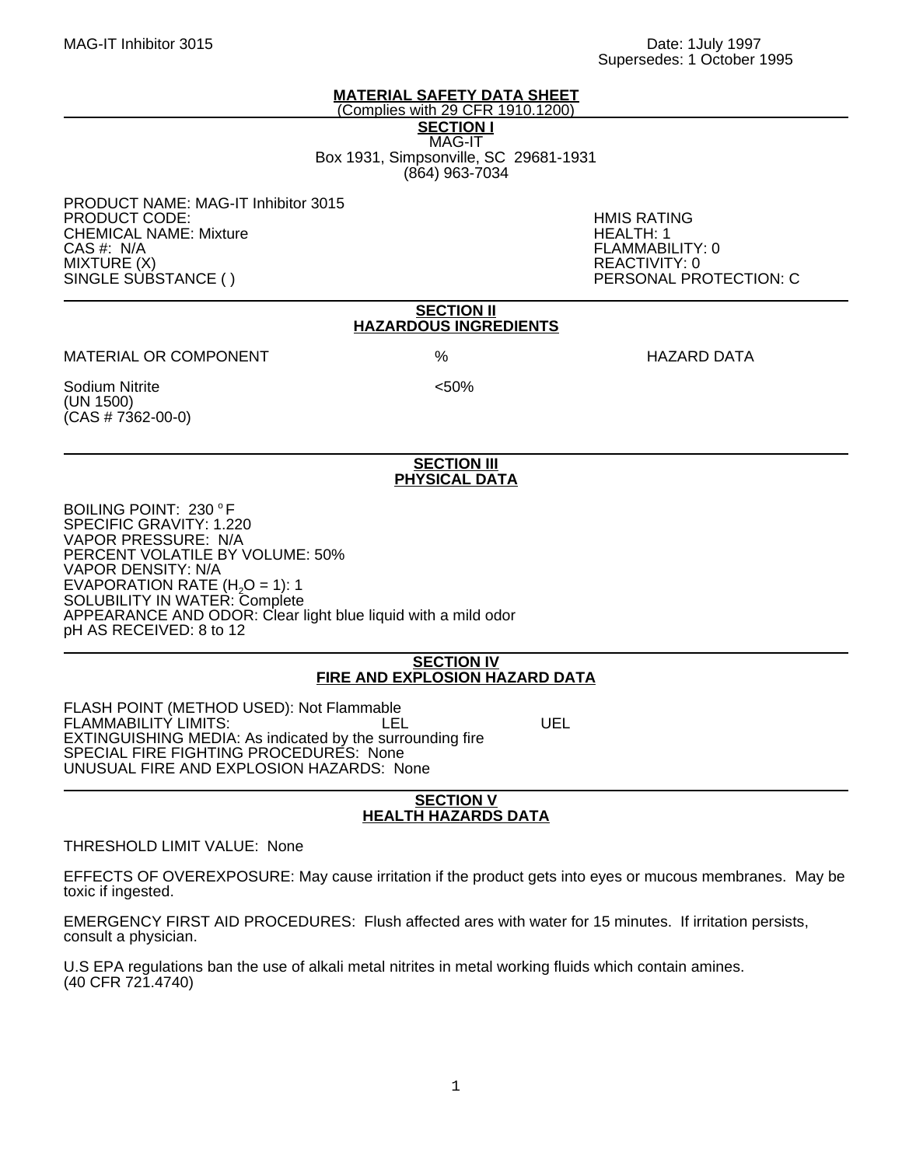#### **MATERIAL SAFETY DATA SHEET** (Complies with 29 CFR 1910.1200)

**SECTION I** MAG-IT Box 1931, Simpsonville, SC 29681-1931 (864) 963-7034

PRODUCT NAME: MAG-IT Inhibitor 3015 PRODUCT CODE: HMIS RATING **CHEMICAL NAME: Mixture** CAS #: N/A FLAMMABILITY: 0 MIXTURE (X) REACTIVITY: 0 SINGLE SUBSTANCE ( ) PERSONAL PROTECTION: C

## **SECTION II HAZARDOUS INGREDIENTS**

MATERIAL OR COMPONENT % HAZARD DATA

Sodium Nitrite <50% (UN 1500)  $(CAS # 7362-00-0)$ 

## **SECTION III PHYSICAL DATA**

BOILING POINT: 230 °F SPECIFIC GRAVITY: 1.220 VAPOR PRESSURE: N/A PERCENT VOLATILE BY VOLUME: 50% VAPOR DENSITY: N/A EVAPORATION RATE  $(H<sub>2</sub>O = 1)$ : 1 SOLUBILITY IN WATER: Complete APPEARANCE AND ODOR: Clear light blue liquid with a mild odor pH AS RECEIVED: 8 to 12

## **SECTION IV FIRE AND EXPLOSION HAZARD DATA**

FLASH POINT (METHOD USED): Not Flammable FLAMMABILITY LIMITS: LEL UEL EXTINGUISHING MEDIA: As indicated by the surrounding fire SPECIAL FIRE FIGHTING PROCEDURES: None UNUSUAL FIRE AND EXPLOSION HAZARDS: None

## **SECTION V HEALTH HAZARDS DATA**

THRESHOLD LIMIT VALUE: None

EFFECTS OF OVEREXPOSURE: May cause irritation if the product gets into eyes or mucous membranes. May be toxic if ingested.

EMERGENCY FIRST AID PROCEDURES: Flush affected ares with water for 15 minutes. If irritation persists, consult a physician.

U.S EPA regulations ban the use of alkali metal nitrites in metal working fluids which contain amines. (40 CFR 721.4740)